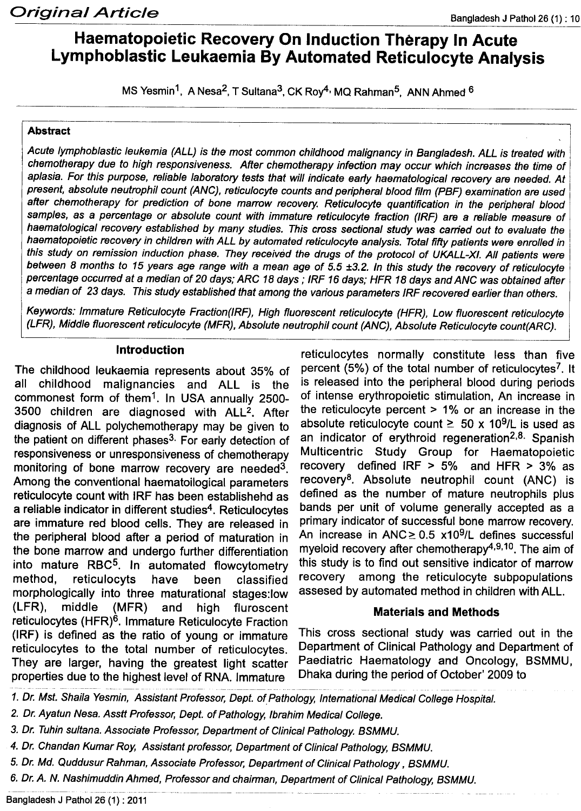# **Haematopoietic Recovery On Induction Therapy In Acute Lymphoblastic Leukaemia By Automated Reticulocyte Analysis**

MS Yesmin<sup>1</sup>, A Nesa<sup>2</sup>, T Sultana<sup>3</sup>, CK Roy<sup>4,</sup> MQ Rahman<sup>5</sup>, ANN Ahmed <sup>6</sup>

#### Abstract

*Acute lymphoblastic leukemia (ALL) is the most common childhood malignancy in Bangladesh. ALL is treated with chemotherapy due to high responsiveness. After chemotherapy infection may occur which increases the time of aplasia. For this purpose, reliable laboratory tests that will indicate early haematological recovery are needed.* At *present, absolute neutrophil count (ANC), reticulocyte counts and peripheral blood film (PBF) examination are used after chemotherapy for prediction of bone marrow recovery. Reticulocyte quantification in the peripheral blood samples, as* a *percentage or absolute count with immature reticulocyte fraction (lRF) are* a *reliable measure of haematological recovery established by many studies. This cross sectional study was carried out* to *evaluate the* haematopoietic recovery in children with ALL by automated reticulocyte analysis. Total fifty patients were enrolled in this study on remission induction phase. They received the drugs of the protocol of UKALL-XI. All patients were between 8 months to 15 years age range with a mean age of 5.5 ±3.2. In this study the recovery of reticulocyte percentage occurred at a median of 20 days; ARC 18 days; IRF 16 days; HFR 18 days and ANC was obtained after a *median of* 23 *days. This study established that among the various parameters IRF recovered earlier than others.*

*Keywords: Immature Reticulocyte Fraction(lRF), High fluorescent reticulocyte (HFR), Low fluorescent reticulocyte (LFR), Middle fluorescent reticulocyte (MFR), Absolute neutrophil count (ANC), Absolute Reticulocyte count(ARC).*

#### Introduction

The childhood leukaemia represents about 35% of all childhood malignancies and ALL is the commonest form of them1. In USA annually 2500- 3500 children are diagnosed with ALL2. After diagnosis of ALL polychemotherapy may be given to the patient on different phases<sup>3.</sup> For early detection of responsiveness or unresponsiveness of chemotherapy monitoring of bone marrow recovery are needed3. Among the conventional haematoilogical parameters reticulocyte count with IRF has been establishehd as a reliable indicator in different studies<sup>4</sup>. Reticulocytes are immature red blood cells. They are released in the peripheral blood after a period of maturation in the bone marrow and undergo further differentiation into mature RBC<sup>5</sup>. In automated flowcytometry method, reticulocyts have been classified morphologically into three maturational stages:low (LFR), middle (MFR) and high fluroscent reticulocytes (HFR)6. Immature Reticulocyte Fraction (IRF) is defined as the ratio of young or immature reticulocytes to the total number of reticulocytes. They are larger, having the greatest light scatter properties due to the highest level of RNA. Immature

reticulocytes normally constitute less than five percent (5%) of the total number of reticulocytes<sup>7</sup>. It is released into the peripheral blood during periods of intense erythropoietic stimulation, An increase in the reticulocyte percent > 1% or an increase in the absolute reticulocyte count  $\geq 50 \times 10^9$ /L is used as an indicator of erythroid regeneration<sup>2,8.</sup> Spanish Multicentric Study Group for Haematopoietic recovery defined IRF > 5% and HFR > 3% as recovery8. Absolute neutrophil count (ANC) is defined as the number of mature neutrophils plus bands per unit of volume generally accepted as a primary indicator of successful bone marrow recovery. An increase in ANC $\geq$  0.5 x10<sup>9</sup>/L defines successful myeloid recovery after chemotherapy<sup>4,9,10</sup>. The aim of this study is to find out sensitive indicator of marrow recovery among the reticulocyte subpopulations assesed by automated method in children with ALL.

#### Materials and Methods

This cross sectional study was carried out in the Department of Clinical Pathology and Department of Paediatric Haematology and Oncology, BSMMU, Dhaka during the period of October' 2009 to

- *2. Dr. Ayatun Nesa. Asstt Professor, Dept. of Pathology, Ibrahim Medical College.*
- *3. Dr. Tuhin sultana. Associate Professor, Department of Clinical Pathology. BSMMU.*
- *4. Dr. Chandan Kumar Roy, Assistant professor, Department of Clinical Pathology, BSMMU.*
- *5. Dr. Md. Quddusur Rahman, Associate Professor, Department of Clinical Pathology, BSMMU.*
- *6. Dr.* A. *N. Nashimuddin Ahmed, Professor and chairman, Department of Clinical Pathology, BSMMU.*

*<sup>1.</sup> Dr. Mst. Shaila Yesmin, Assistant Professor, Dept. of Pathology, International Medical College Hospital.*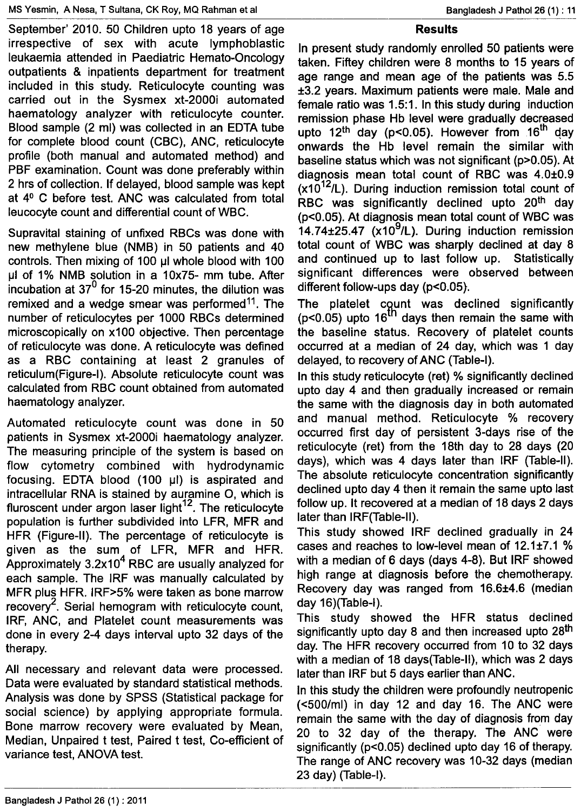September' 2010. 50 Children upto 18 years of age irrespective of sex with acute lymphoblastic leukaemia attended in Paediatric Hemato-Oncology outpatients & inpatients department for treatment included in this study. Reticulocyte counting was carried out in the Sysmex xt-2000i automated haematology analyzer with reticulocyte counter. Blood sample (2 ml) was collected in an EDTA tube for complete blood count (CBC), ANC, reticulocyte profile (both manual and automated method) and PBF examination. Count was done preferably within 2 hrs of collection. If delayed, blood sample was kept at 4° C before test. ANC was calculated from total leucocyte count and differential count of WBC.

Supravital staining of unfixed RBCs was done with new methylene blue (NMB) in 50 patients and 40 controls. Then mixing of 100 µl whole blood with 100  $\mu$ I of 1% NMB solution in a 10x75- mm tube. After incubation at  $37<sup>0</sup>$  for 15-20 minutes, the dilution was remixed and a wedge smear was performed<sup>11</sup>. The number of reticulocytes per 1000 RBCs determined microscopically on x100 objective. Then percentage of reticulocyte was done. A reticulocyte was defined as a RBC containing at least 2 granules of reticulum(Figure-I}. Absolute reticulocyte count was calculated from RBC count obtained from automated haematology analyzer.

Automated reticulocyte count was done in 50 patients in Sysmex xt-2000i haematology analyzer. The measuring principle of the system is based on flow cytometry combined with hydrodynamic focusing. EDTA blood  $(100 \mu l)$  is aspirated and intracellular RNA is stained by auramine 0, which is fluroscent under argon laser light $12$ . The reticulocyte population is further subdivided into LFR, MFR and HFR (Figure-II). The percentage of reticulocyte is given as the sum of LFR, MFR and HFR. Approximately  $3.2x10<sup>4</sup>$  RBC are usually analyzed for each sample. The IRF was manually calculated by MFR plus HFR. IRF>5% were taken as bone marrow recovery<sup>2</sup>. Serial hemogram with reticulocyte count, IRF, ANC, and Platelet count measurements was done in every 2-4 days interval upto 32 days of the therapy.

All necessary and relevant data were processed. Data were evaluated by standard statistical methods. Analysis was done by SPSS (Statistical package for social science) by applying appropriate formula. Bone marrow recovery were evaluated by Mean, Median, Unpaired t test, Paired t test, Co-efficient of variance test, ANOVA test.

#### **Results**

In present study randomly enrolled 50 patients were taken. Fiftey children were 8 months to 15 years of age range and mean age of the patients was 5.5 ±3.2 years. Maximum patients were male. Male and female ratio was 1.5:1. In this study during induction remission phase Hb level were gradually decreased upto 12<sup>th</sup> day (p<0.05). However from 16<sup>th</sup> day onwards the Hb level remain the similar with baseline status which was not significant (p>0.05). At diagnosis mean total count of RBC was 4.0±0.9  $(x10^{12}/L)$ . During induction remission total count of RBC was significantly declined upto 20<sup>th</sup> day (p<0.05). At diagnosis mean total count of WBC was  $14.74\pm 25.47$  (x10<sup>9</sup>/L). During induction remission total count of WBC was sharply declined at day 8 and continued up to last follow up. Statistically significant differences were observed between different follow-ups day (p<0.05).

The platelet count was declined significantly ( $p$ <0.05) upto 16<sup>th</sup> days then remain the same with the baseline status. Recovery of platelet counts occurred at a median of 24 day, which was 1 day delayed, to recovery of ANC (Table-I).

In this study reticulocyte (ret) % significantly declined upto day 4 and then gradually increased or remain the same with the diagnosis day in both automated and manual method. Reticulocyte % recovery occurred first day of persistent 3-days rise of the reticulocyte (ret) from the 18th day to 28 days (20 days), which was 4 days later than IRF (Table-II). The absolute reticulocyte concentration significantly declined upto day 4 then it remain the same upto last follow up. It recovered at a median of 18 days 2 days later than IRF(Table-II}.

This study showed IRF declined gradually in 24 cases and reaches to low-level mean of 12.1±7.1 % with a median of 6 days (days 4-8). But IRF showed high range at diagnosis before the chemotherapy. Recovery day was ranged from 16.6±4.6 (median day 16)(Table-I}.

This study showed the HFR status declined significantly upto day 8 and then increased upto 28<sup>th</sup> day. The HFR recovery occurred from 10 to 32 days with a median of 18 days(Table-II}, which was 2 days later than IRF but 5 days earlier than ANC.

In this study the children were profoundly neutropenic «500/ml) in day 12 and day 16. The ANC were remain the same with the day of diagnosis from day 20 to 32 day of the therapy. The ANC were significantly (p<0.05) declined upto day 16 of therapy. The range of ANC recovery was 10-32 days (median 23 day) (Table-I).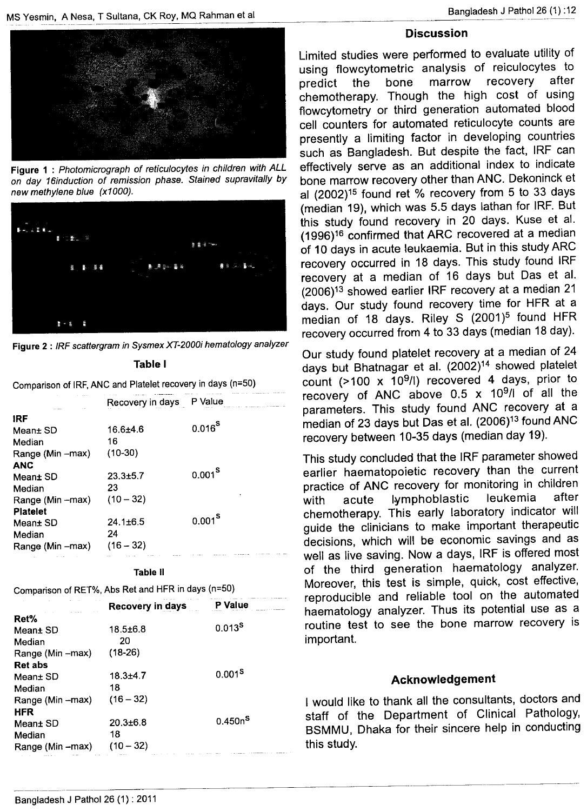

Figure 1 : *Photomicrograph* of *reticulocytes in children with ALL on day 16induction* of *remission phase. Stained supravitaJly by new methylene blue (x1000).*



Figure2 : *IRF scattergram in Sysmex XT-200Oi hematology analyzer* Table I

Comparison of IRF, ANC and Platelet recovery in days (n=50)

|                    | Recovery in days | P Value            |
|--------------------|------------------|--------------------|
| <b>IRF</b>         |                  |                    |
| Mean± SD           | 16.6±4.6         | $0.016^{S}$        |
| Median             | 16               |                    |
| Range (Min -- max) | $(10-30)$        |                    |
| <b>ANC</b>         |                  |                    |
| Mean± SD           | $23.3 \pm 5.7$   | $0.001^8$          |
| Median             | 23               |                    |
| Range (Min - max)  | $(10 - 32)$      |                    |
| <b>Platelet</b>    |                  |                    |
| Mean± SD           | $24.1 \pm 6.5$   | 0.001 <sup>S</sup> |
| Median             | 24               |                    |
| Range (Min -max)   | $(16 - 32)$      |                    |
| .                  | 111.10           |                    |

**Table II** 

Comparison of RET%, Abs Ret and HFR in days (n=50)

|                  | Recovery in days | P Value             |
|------------------|------------------|---------------------|
| Ret%             |                  |                     |
| Mean± SD         | $18.5 \pm 6.8$   | $0.013^{S}$         |
| Median           | 20               |                     |
| Range (Min –max) | $(18-26)$        |                     |
| Ret abs          |                  |                     |
| Mean± SD         | $18.3 + 4.7$     | 0.001 <sup>S</sup>  |
| Median           | 18               |                     |
| Range (Min –max) | $(16 - 32)$      |                     |
| HFR              |                  |                     |
| Mean± SD         | $20.3 + 6.8$     | 0.450n <sup>S</sup> |
| Median           | 18               |                     |
| Range (Min –max) | $(10 - 32)$      |                     |
|                  |                  |                     |

## **Discussion**

Limited studies were performed to evaluate utility of using f1owcytometric analysis of reiculocytes to predict the bone marrow recovery are chemotherapy. Though the high cost of using flowcytometry or third generation automated blood cell counters for automated reticulocyte counts are presently a limiting factor in developing countries such as Bangladesh. But despite the fact, IRF can effectively serve as an additional index to indicate bone marrow recovery other than ANC. Dekoninck et al (2002)15 found ret % recovery from 5 to 33 days (median 19), which was 5.5 days lathan for IRF. But this study found recovery in 20 days. Kuse et al. (1996)16 confirmed that ARC recovered at a median of 10 days in acute leukaemia. But in this study ARC recovery occurred in 18 days. This study found IRF recovery at a median of 16 days but Das et al. (2006)13 showed earlier IRF recovery at a median 21 days. Our study found recovery time for HFR at a median of 18 days. Riley S (2001)<sup>5</sup> found HFR recovery occurred from 4 to 33 days (median 18 day).

Our study found platelet recovery at a median of 24 days but Bhatnagar et al. (2002)<sup>14</sup> showed platelet count (>100 x 109/1) recovered 4 days, prior to recovery of ANC above  $0.5 \times 10^{9}$ / $\sigma$  of all the parameters. This study found ANC recovery at a median of 23 days but Das et al. (2006)<sup>13</sup> found ANC recovery between 10-35 days (median day 19).

This study concluded that the IRF parameter showed earlier haematopoietic recovery than the current practice of ANC recovery for monitoring in children<br>with acute lymphoblastic leukemia after with acute lymphoblastic chemotherapy. This early laboratory indicator will guide the clinicians to make important therapeutic decisions, which will be economic savings and as well as live saving. Now a days, IRF is offered most of the third generation haematology analyzer. Moreover, this test is simple, quick, cost effective, reproducible and reliable tool on the automated haematology analyzer. Thus its potential use as a routine test to see the bone marrow recovery is important.

### Acknowledgement

I would like to thank all the consultants, doctors and staff of the Department of Clinical Pathology, BSMMU, Dhaka for their sincere help in conducting this study.